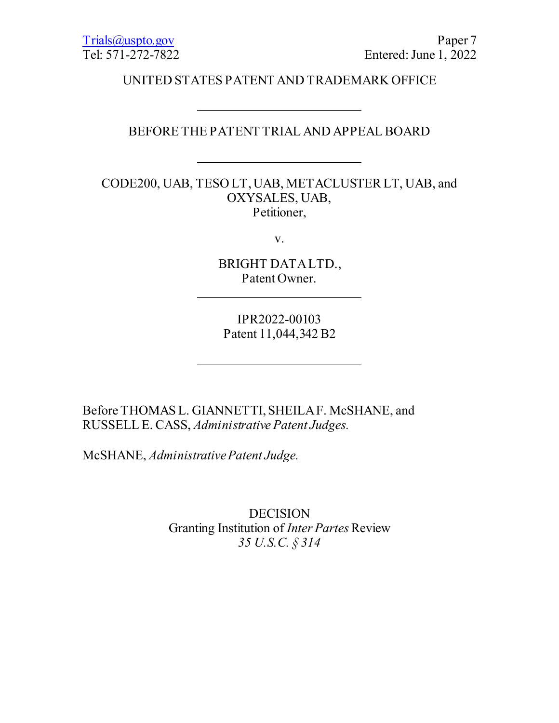UNITED STATES PATENT AND TRADEMARK OFFICE

# BEFORE THE PATENT TRIAL AND APPEAL BOARD

CODE200, UAB, TESO LT, UAB, METACLUSTER LT, UAB, and OXYSALES, UAB, Petitioner,

v.

BRIGHT DATA LTD., Patent Owner.

IPR2022-00103 Patent 11,044,342 B2

Before THOMAS L. GIANNETTI, SHEILA F. McSHANE, and RUSSELL E. CASS, *Administrative Patent Judges.*

McSHANE, *Administrative Patent Judge.*

DECISION Granting Institution of *Inter Partes* Review *35 U.S.C. § 314*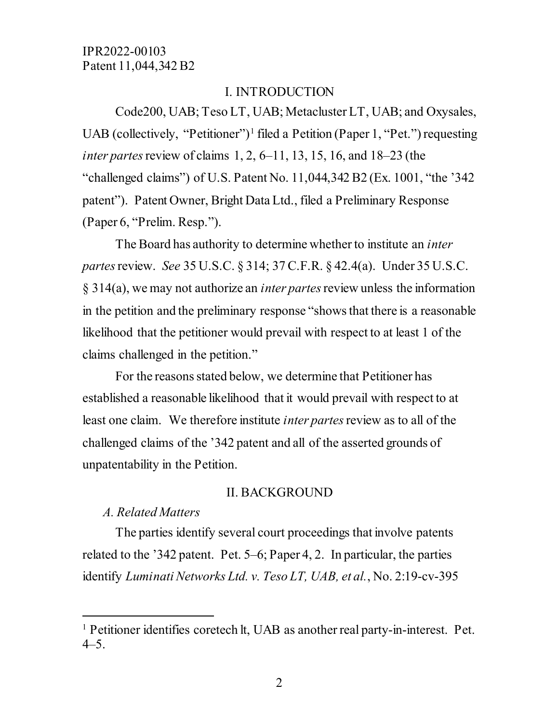# I. INTRODUCTION

Code200, UAB; Teso LT, UAB; Metacluster LT, UAB; and Oxysales, UAB (collectively, "Petitioner")<sup>[1](#page-1-0)</sup> filed a Petition (Paper 1, "Pet.") requesting *inter partes* review of claims 1, 2, 6–11, 13, 15, 16, and 18–23 (the "challenged claims") of U.S. Patent No. 11,044,342 B2 (Ex. 1001, "the '342 patent"). Patent Owner, Bright Data Ltd., filed a Preliminary Response (Paper 6, "Prelim. Resp.").

The Board has authority to determine whether to institute an *inter partes*review. *See* 35 U.S.C. § 314; 37 C.F.R. § 42.4(a). Under 35 U.S.C. § 314(a), we may not authorize an *inter partes*review unless the information in the petition and the preliminary response "shows that there is a reasonable likelihood that the petitioner would prevail with respect to at least 1 of the claims challenged in the petition."

For the reasons stated below, we determine that Petitioner has established a reasonable likelihood that it would prevail with respect to at least one claim. We therefore institute *inter partes*review as to all of the challenged claims of the '342 patent and all of the asserted grounds of unpatentability in the Petition.

#### II. BACKGROUND

# *A. Related Matters*

 $\overline{a}$ 

The parties identify several court proceedings that involve patents related to the '342 patent. Pet. 5–6; Paper 4, 2. In particular, the parties identify *Luminati Networks Ltd. v. Teso LT, UAB, et al.*, No. 2:19-cv-395

<span id="page-1-0"></span><sup>&</sup>lt;sup>1</sup> Petitioner identifies coretech lt, UAB as another real party-in-interest. Pet.  $4 - 5$ .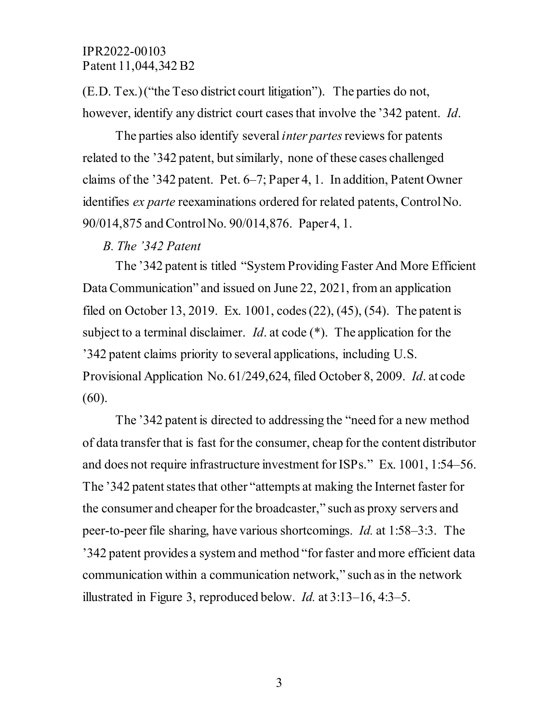(E.D. Tex.)("the Teso district court litigation"). The parties do not, however, identify any district court cases that involve the '342 patent. *Id*.

The parties also identify several *inter partes*reviews for patents related to the '342 patent, but similarly, none of these cases challenged claims of the '342 patent. Pet. 6–7; Paper 4, 1. In addition, Patent Owner identifies *ex parte* reexaminations ordered for related patents, Control No. 90/014,875 and Control No. 90/014,876. Paper 4, 1.

#### *B. The '342 Patent*

The '342 patent is titled "System Providing Faster And More Efficient Data Communication" and issued on June 22, 2021, from an application filed on October 13, 2019. Ex. 1001, codes (22), (45), (54). The patent is subject to a terminal disclaimer. *Id*. at code (\*). The application for the '342 patent claims priority to several applications, including U.S. Provisional Application No. 61/249,624, filed October 8, 2009. *Id*. at code (60).

The '342 patent is directed to addressing the "need for a new method of data transfer that is fast for the consumer, cheap for the content distributor and does not require infrastructure investment for ISPs." Ex. 1001, 1:54–56. The '342 patent states that other "attempts at making the Internet faster for the consumer and cheaper for the broadcaster," such as proxy servers and peer-to-peer file sharing, have various shortcomings. *Id.* at 1:58–3:3. The '342 patent provides a system and method "for faster and more efficient data communication within a communication network," such as in the network illustrated in Figure 3, reproduced below. *Id.* at 3:13–16, 4:3–5.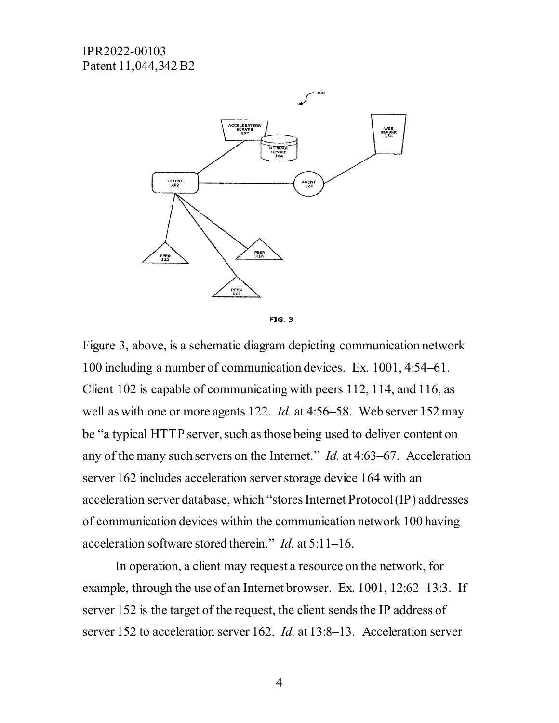



Figure 3, above, is a schematic diagram depicting communication network 100 including a number of communication devices. Ex. 1001, 4:54–61. Client 102 is capable of communicating with peers 112, 114, and 116, as well as with one or more agents 122. *Id.* at 4:56–58. Web server 152 may be "a typical HTTP server, such as those being used to deliver content on any of the many such servers on the Internet." *Id.* at 4:63–67. Acceleration server 162 includes acceleration server storage device 164 with an acceleration server database, which "stores Internet Protocol (IP) addresses of communication devices within the communication network 100 having acceleration software stored therein." *Id.* at 5:11–16.

In operation, a client may request a resource on the network, for example, through the use of an Internet browser. Ex. 1001, 12:62–13:3. If server 152 is the target of the request, the client sends the IP address of server 152 to acceleration server 162. *Id.* at 13:8–13. Acceleration server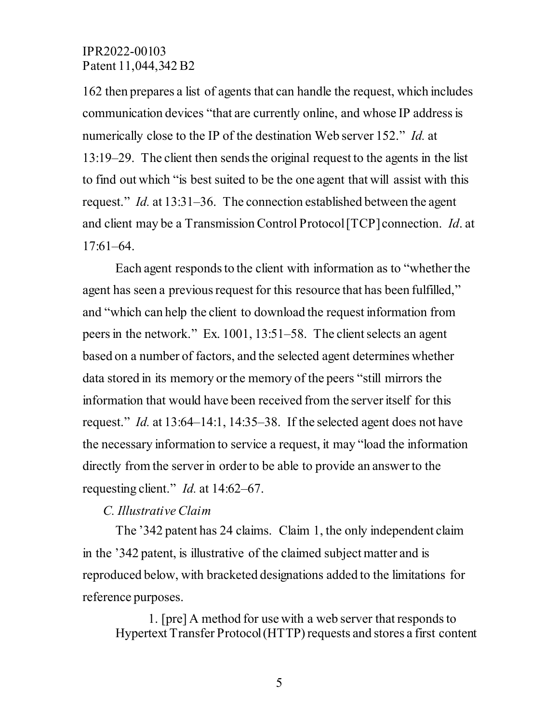162 then prepares a list of agents that can handle the request, which includes communication devices "that are currently online, and whose IP address is numerically close to the IP of the destination Web server 152." *Id.* at 13:19–29. The client then sends the original request to the agents in the list to find out which "is best suited to be the one agent that will assist with this request." *Id.* at 13:31–36. The connection established between the agent and client may be a Transmission Control Protocol[TCP] connection. *Id*. at 17:61–64.

Each agent responds to the client with information as to "whether the agent has seen a previous request for this resource that has been fulfilled," and "which can help the client to download the request information from peers in the network." Ex. 1001, 13:51–58. The client selects an agent based on a number of factors, and the selected agent determines whether data stored in its memory or the memory of the peers "still mirrors the information that would have been received from the server itself for this request." *Id.* at 13:64–14:1, 14:35–38. If the selected agent does not have the necessary information to service a request, it may "load the information directly from the server in order to be able to provide an answer to the requesting client." *Id.* at 14:62–67.

#### *C. Illustrative Claim*

The '342 patent has 24 claims. Claim 1, the only independent claim in the '342 patent, is illustrative of the claimed subject matter and is reproduced below, with bracketed designations added to the limitations for reference purposes.

1. [pre] A method for use with a web server that responds to Hypertext Transfer Protocol (HTTP) requests and stores a first content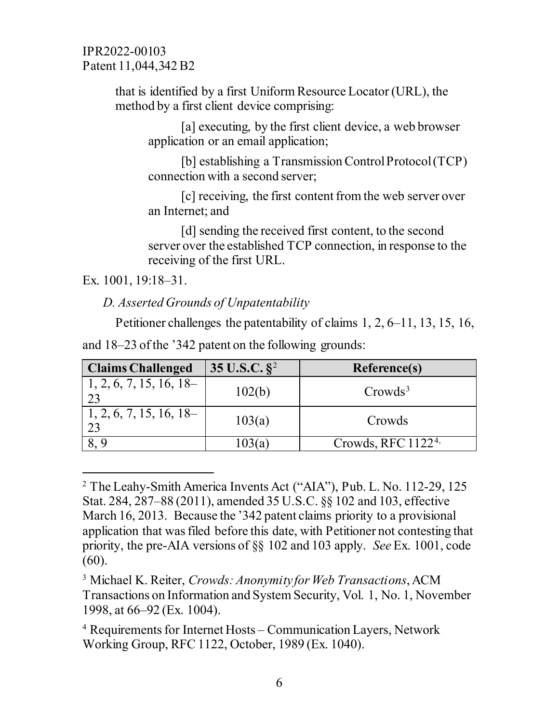> that is identified by a first Uniform Resource Locator (URL), the method by a first client device comprising:

[a] executing, by the first client device, a web browser application or an email application;

[b] establishing a Transmission Control Protocol (TCP) connection with a second server;

[c] receiving, the first content from the web server over an Internet; and

[d] sending the received first content, to the second server over the established TCP connection, in response to the receiving of the first URL.

Ex. 1001, 19:18–31.

 $\overline{a}$ 

 *D. Asserted Grounds of Unpatentability*

Petitioner challenges the patentability of claims 1, 2, 6–11, 13, 15, 16,

| <b>Claims Challenged</b>  | 35 U.S.C. $\S^2$ | Reference(s)          |
|---------------------------|------------------|-----------------------|
| 1, 2, 6, 7, 15, 16, 18    | 102(b)           | $Crowds^3$            |
| $1, 2, 6, 7, 15, 16, 18-$ | 103(a)           | Crowds                |
|                           | .03 (a           | Crowds, RFC $11224$ , |

and 18–23 of the '342 patent on the following grounds:

<span id="page-5-0"></span><sup>&</sup>lt;sup>2</sup> The Leahy-Smith America Invents Act ("AIA"), Pub. L. No. 112-29, 125 Stat. 284, 287–88 (2011), amended 35 U.S.C. §§ 102 and 103, effective March 16, 2013. Because the '342 patent claims priority to a provisional application that was filed before this date, with Petitioner not contesting that priority, the pre-AIA versions of §§ 102 and 103 apply. *See* Ex. 1001, code (60).

<span id="page-5-1"></span><sup>3</sup> Michael K. Reiter, *Crowds: Anonymity for Web Transactions*, ACM Transactions on Information and System Security, Vol. 1, No. 1, November 1998, at 66–92 (Ex. 1004).

<span id="page-5-2"></span><sup>4</sup> Requirements for Internet Hosts – Communication Layers, Network Working Group, RFC 1122, October, 1989 (Ex. 1040).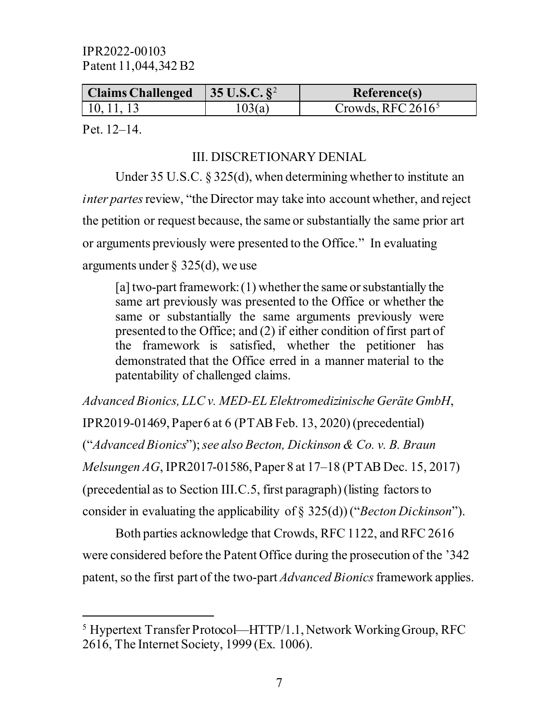| Claims Challenged   $35$ U.S.C. $\S^2$ |        | <b>Reference(s)</b>  |
|----------------------------------------|--------|----------------------|
| $\vert 10, 11, 13 \vert$               | 103(a) | Crowds, RFC $2616^5$ |

Pet. 12–14.

 $\overline{a}$ 

# III. DISCRETIONARY DENIAL

Under 35 U.S.C. § 325(d), when determining whether to institute an *inter partes* review, "the Director may take into account whether, and reject the petition or request because, the same or substantially the same prior art or arguments previously were presented to the Office." In evaluating arguments under  $\S$  325(d), we use

[a] two-part framework: (1) whether the same or substantially the same art previously was presented to the Office or whether the same or substantially the same arguments previously were presented to the Office; and (2) if either condition of first part of the framework is satisfied, whether the petitioner has demonstrated that the Office erred in a manner material to the patentability of challenged claims.

*Advanced Bionics, LLC v. MED-EL Elektromedizinische Geräte GmbH*, IPR2019-01469, Paper 6 at 6 (PTAB Feb. 13, 2020) (precedential) ("*Advanced Bionics*"); *see also Becton, Dickinson & Co. v. B. Braun Melsungen AG*, IPR2017-01586, Paper 8 at 17–18 (PTAB Dec. 15, 2017) (precedential as to Section III.C.5, first paragraph) (listing factors to consider in evaluating the applicability of § 325(d)) ("*Becton Dickinson*").

Both parties acknowledge that Crowds, RFC 1122, and RFC 2616 were considered before the Patent Office during the prosecution of the '342 patent, so the first part of the two-part *Advanced Bionics*framework applies.

<span id="page-6-0"></span><sup>5</sup> Hypertext Transfer Protocol—HTTP/1.1, Network Working Group, RFC 2616, The Internet Society, 1999 (Ex. 1006).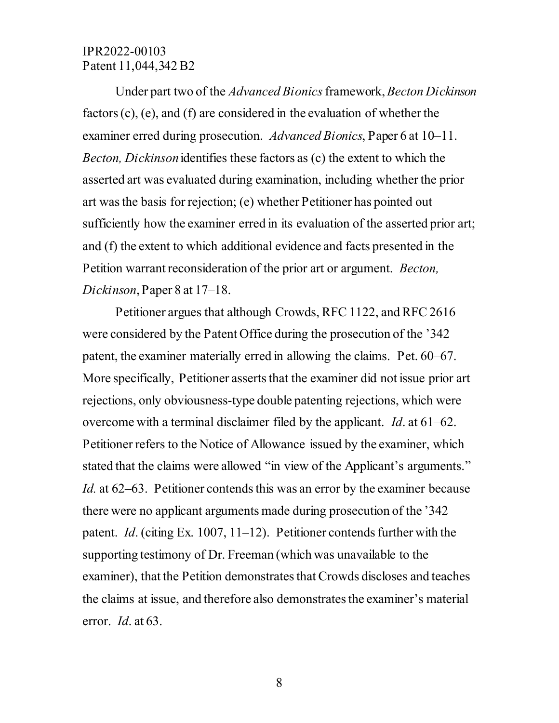Under part two of the *Advanced Bionics*framework, *Becton Dickinson* factors (c), (e), and (f) are considered in the evaluation of whether the examiner erred during prosecution. *Advanced Bionics*, Paper 6 at 10–11. *Becton, Dickinson* identifies these factors as (c) the extent to which the asserted art was evaluated during examination, including whether the prior art was the basis for rejection; (e) whether Petitioner has pointed out sufficiently how the examiner erred in its evaluation of the asserted prior art; and (f) the extent to which additional evidence and facts presented in the Petition warrant reconsideration of the prior art or argument. *Becton, Dickinson*, Paper 8 at 17–18.

Petitioner argues that although Crowds, RFC 1122, and RFC 2616 were considered by the Patent Office during the prosecution of the '342 patent, the examiner materially erred in allowing the claims. Pet. 60–67. More specifically, Petitioner asserts that the examiner did not issue prior art rejections, only obviousness-type double patenting rejections, which were overcome with a terminal disclaimer filed by the applicant. *Id*. at 61–62. Petitioner refers to the Notice of Allowance issued by the examiner, which stated that the claims were allowed "in view of the Applicant's arguments." *Id.* at 62–63. Petitioner contends this was an error by the examiner because there were no applicant arguments made during prosecution of the '342 patent. *Id*. (citing Ex. 1007, 11–12). Petitioner contends further with the supporting testimony of Dr. Freeman (which was unavailable to the examiner), that the Petition demonstrates that Crowds discloses and teaches the claims at issue, and therefore also demonstrates the examiner's material error. *Id*. at 63.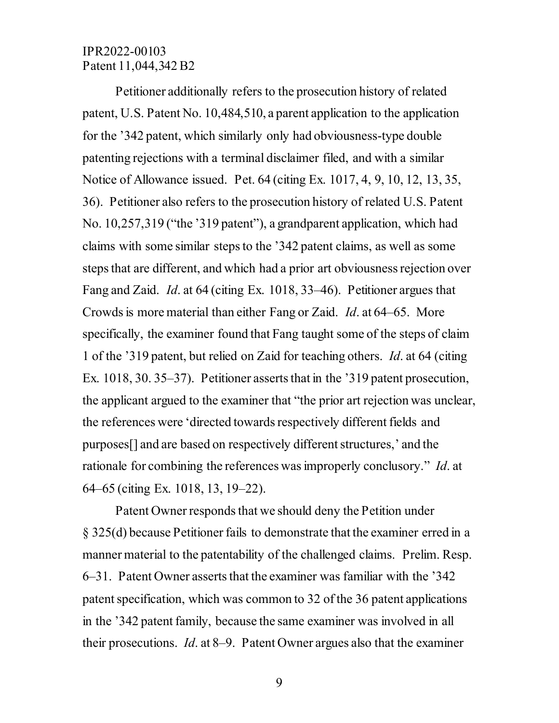Petitioner additionally refers to the prosecution history of related patent, U.S. Patent No. 10,484,510, a parent application to the application for the '342 patent, which similarly only had obviousness-type double patenting rejections with a terminal disclaimer filed, and with a similar Notice of Allowance issued. Pet. 64 (citing Ex. 1017, 4, 9, 10, 12, 13, 35, 36). Petitioner also refers to the prosecution history of related U.S. Patent No. 10,257,319 ("the '319 patent"), a grandparent application, which had claims with some similar stepsto the '342 patent claims, as well as some steps that are different, and which had a prior art obviousness rejection over Fang and Zaid. *Id*. at 64 (citing Ex. 1018, 33–46). Petitioner argues that Crowds is more material than either Fang or Zaid. *Id*. at 64–65. More specifically, the examiner found that Fang taught some of the steps of claim 1 of the '319 patent, but relied on Zaid for teaching others. *Id*. at 64 (citing Ex. 1018, 30. 35–37). Petitioner asserts that in the '319 patent prosecution, the applicant argued to the examiner that "the prior art rejection was unclear, the references were 'directed towards respectively different fields and purposes[] and are based on respectively different structures,' and the rationale for combining the references was improperly conclusory." *Id*. at 64–65 (citing Ex. 1018, 13, 19–22).

Patent Owner responds that we should deny the Petition under § 325(d) because Petitioner fails to demonstrate that the examiner erred in a manner material to the patentability of the challenged claims. Prelim. Resp. 6–31. Patent Owner asserts that the examiner was familiar with the '342 patent specification, which was common to 32 of the 36 patent applications in the '342 patent family, because the same examiner was involved in all their prosecutions. *Id*. at 8–9. Patent Owner argues also that the examiner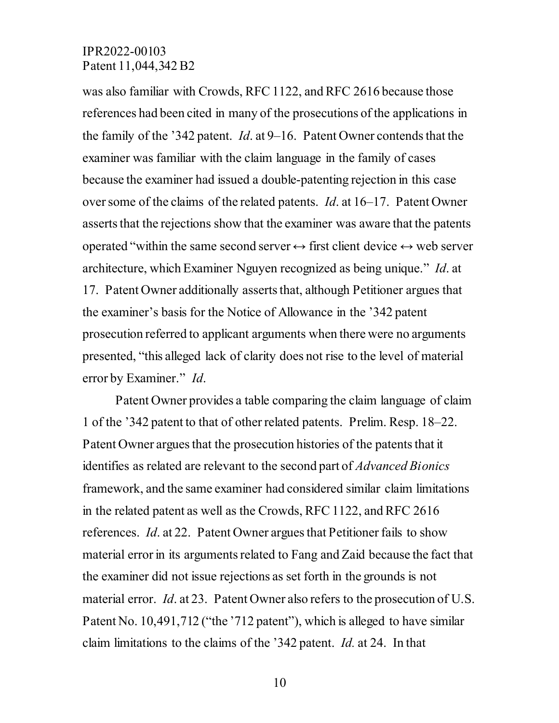was also familiar with Crowds, RFC 1122, and RFC 2616 because those references had been cited in many of the prosecutions of the applications in the family of the '342 patent. *Id*. at 9–16. Patent Owner contends that the examiner was familiar with the claim language in the family of cases because the examiner had issued a double-patenting rejection in this case over some of the claims of the related patents. *Id*. at 16–17. Patent Owner asserts that the rejections show that the examiner was aware that the patents operated "within the same second server  $\leftrightarrow$  first client device  $\leftrightarrow$  web server architecture, which Examiner Nguyen recognized as being unique." *Id*. at 17. Patent Owner additionally asserts that, although Petitioner argues that the examiner's basis for the Notice of Allowance in the '342 patent prosecution referred to applicant arguments when there were no arguments presented, "this alleged lack of clarity does not rise to the level of material error by Examiner." *Id*.

Patent Owner provides a table comparing the claim language of claim 1 of the '342 patent to that of other related patents. Prelim. Resp. 18–22. Patent Owner argues that the prosecution histories of the patents that it identifies as related are relevant to the second part of *Advanced Bionics* framework, and the same examiner had considered similar claim limitations in the related patent as well as the Crowds, RFC 1122, and RFC 2616 references. *Id*. at 22. Patent Owner argues that Petitioner fails to show material error in its arguments related to Fang and Zaid because the fact that the examiner did not issue rejections as set forth in the grounds is not material error. *Id*. at 23. Patent Owner also refers to the prosecution of U.S. Patent No. 10,491,712 ("the '712 patent"), which is alleged to have similar claim limitations to the claims of the '342 patent. *Id.* at 24. In that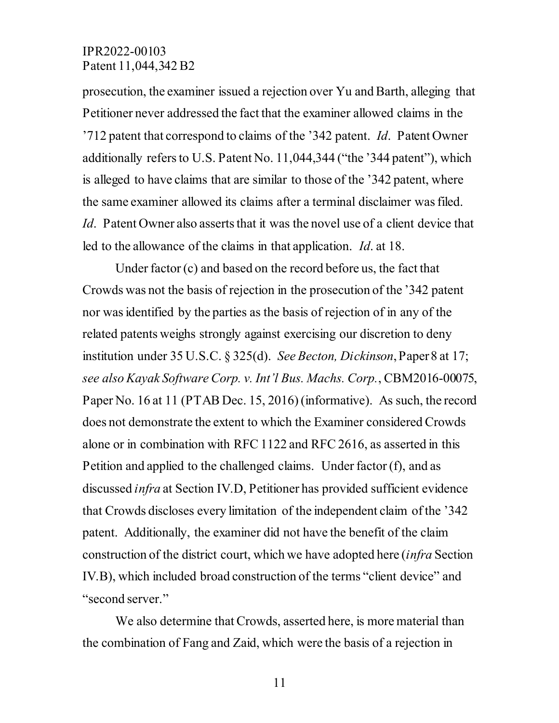prosecution, the examiner issued a rejection over Yu and Barth, alleging that Petitioner never addressed the fact that the examiner allowed claims in the '712 patent that correspond to claims of the '342 patent. *Id*. Patent Owner additionally refers to U.S. Patent No. 11,044,344 ("the '344 patent"), which is alleged to have claims that are similar to those of the '342 patent, where the same examiner allowed its claims after a terminal disclaimer was filed. *Id*. Patent Owner also asserts that it was the novel use of a client device that led to the allowance of the claims in that application. *Id*. at 18.

Under factor (c) and based on the record before us, the fact that Crowds was not the basis of rejection in the prosecution of the '342 patent nor was identified by the parties as the basis of rejection of in any of the related patents weighs strongly against exercising our discretion to deny institution under [35 U.S.C. § 325\(d\).](https://1.next.westlaw.com/Link/Document/FullText?findType=L&pubNum=1000546&cite=35USCAS325&originatingDoc=I1bccb780675e11ebae408ff11f155a05&refType=RB&originationContext=document&transitionType=DocumentItem&ppcid=0c5c2b3c3c40494f966c606b4c8490a1&contextData=(sc.Search)#co_pp_5ba1000067d06) *See Becton, Dickinson*, Paper 8 at 17; *see also Kayak Software Corp. v. Int'l Bus. Machs. Corp.*, CBM2016-00075, Paper No. 16 at 11 (PTAB Dec. 15, 2016) (informative). As such, the record does not demonstrate the extent to which the Examiner considered Crowds alone or in combination with RFC 1122 and RFC 2616, as asserted in this Petition and applied to the challenged claims. Under factor (f), and as discussed *infra* at Section IV.D, Petitioner has provided sufficient evidence that Crowds discloses every limitation of the independent claim of the '342 patent. Additionally, the examiner did not have the benefit of the claim construction of the district court, which we have adopted here (*infra* Section IV.B), which included broad construction of the terms "client device" and "second server."

We also determine that Crowds, asserted here, is more material than the combination of Fang and Zaid, which were the basis of a rejection in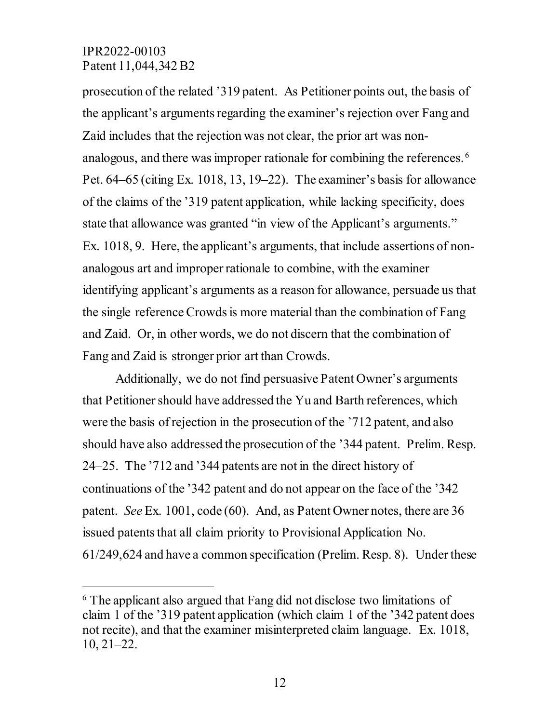$\overline{a}$ 

prosecution of the related '319 patent. As Petitioner points out, the basis of the applicant's arguments regarding the examiner's rejection over Fang and Zaid includes that the rejection was not clear, the prior art was nonanalogous, and there was improper rationale for combining the references. [6](#page-11-0) Pet. 64–65 (citing Ex. 1018, 13, 19–22). The examiner's basis for allowance of the claims of the '319 patent application, while lacking specificity, does state that allowance was granted "in view of the Applicant's arguments." Ex. 1018, 9. Here, the applicant's arguments, that include assertions of nonanalogous art and improper rationale to combine, with the examiner identifying applicant's arguments as a reason for allowance, persuade us that the single reference Crowds is more material than the combination of Fang and Zaid. Or, in other words, we do not discern that the combination of Fang and Zaid is stronger prior art than Crowds.

Additionally, we do not find persuasive Patent Owner's arguments that Petitioner should have addressed the Yu and Barth references, which were the basis of rejection in the prosecution of the '712 patent, and also should have also addressed the prosecution of the '344 patent. Prelim. Resp. 24–25. The '712 and '344 patents are not in the direct history of continuations of the '342 patent and do not appear on the face of the '342 patent. *See* Ex. 1001, code (60). And, as Patent Owner notes, there are 36 issued patents that all claim priority to Provisional Application No. 61/249,624 and have a common specification (Prelim. Resp. 8). Under these

<span id="page-11-0"></span><sup>6</sup> The applicant also argued that Fang did not disclose two limitations of claim 1 of the '319 patent application (which claim 1 of the '342 patent does not recite), and that the examiner misinterpreted claim language. Ex. 1018, 10, 21–22.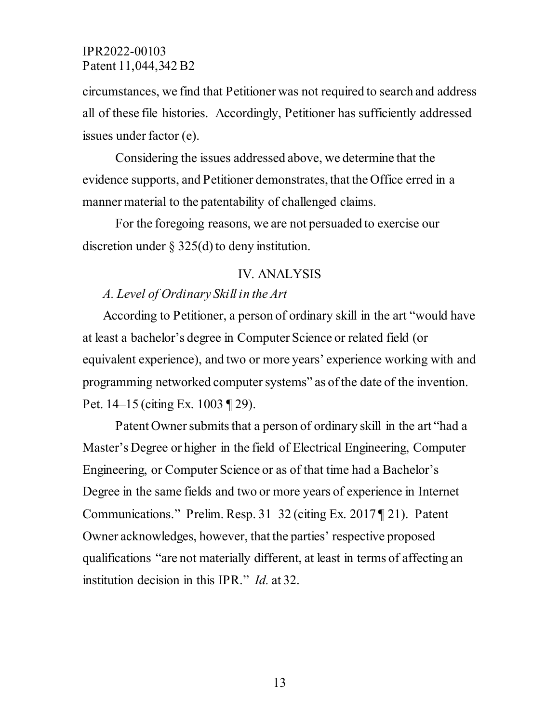circumstances, we find that Petitioner was not required to search and address all of these file histories. Accordingly, Petitioner has sufficiently addressed issues under factor (e).

Considering the issues addressed above, we determine that the evidence supports, and Petitioner demonstrates, that the Office erred in a manner material to the patentability of challenged claims.

For the foregoing reasons, we are not persuaded to exercise our discretion under [§ 325\(d\)](http://www.westlaw.com/Link/Document/FullText?findType=L&pubNum=1000546&cite=35USCAS325&originatingDoc=I33ffa630a82511ea8406df7959f232f7&refType=RB&originationContext=document&vr=3.0&rs=cblt1.0&transitionType=DocumentItem&contextData=(sc.Search)#co_pp_5ba1000067d06) to deny institution.

#### IV. ANALYSIS

#### *A. Level of Ordinary Skill in the Art*

According to Petitioner, a person of ordinary skill in the art "would have at least a bachelor's degree in Computer Science or related field (or equivalent experience), and two or more years' experience working with and programming networked computer systems" as of the date of the invention. Pet. 14–15 (citing Ex. 1003 ¶ 29).

Patent Owner submits that a person of ordinary skill in the art "had a Master's Degree or higher in the field of Electrical Engineering, Computer Engineering, or Computer Science or as of that time had a Bachelor's Degree in the same fields and two or more years of experience in Internet Communications." Prelim. Resp. 31–32 (citing Ex. 2017 ¶ 21). Patent Owner acknowledges, however, that the parties' respective proposed qualifications "are not materially different, at least in terms of affecting an institution decision in this IPR." *Id.* at 32.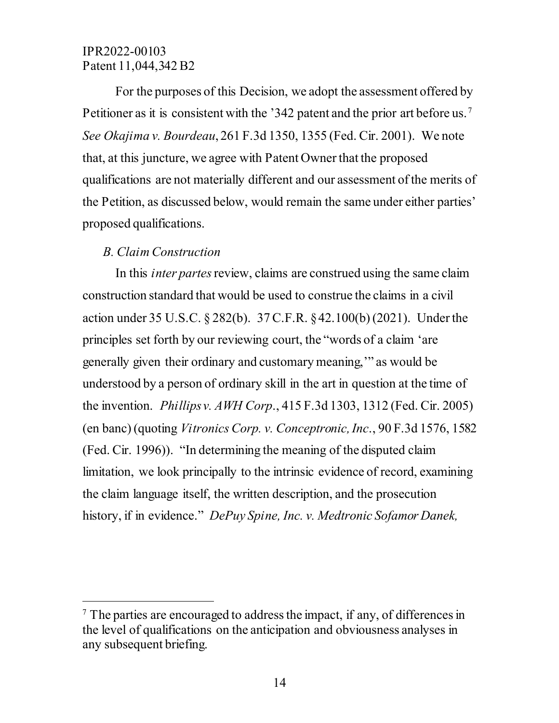For the purposes of this Decision, we adopt the assessment offered by Petitioner as it is consistent with the '342 patent and the prior art before us.<sup>[7](#page-13-0)</sup> *See Okajima v. Bourdeau*, 261 F.3d 1350, 1355 (Fed. Cir. 2001). We note that, at this juncture, we agree with Patent Owner that the proposed qualifications are not materially different and our assessment of the merits of the Petition, as discussed below, would remain the same under either parties' proposed qualifications.

# *B. Claim Construction*

 $\overline{a}$ 

In this *inter partes* review, claims are construed using the same claim construction standard that would be used to construe the claims in a civil action under 35 U.S.C. § 282(b). 37 C.F.R. §42.100(b) (2021). Under the principles set forth by our reviewing court, the "words of a claim 'are generally given their ordinary and customary meaning,'" as would be understood by a person of ordinary skill in the art in question at the time of the invention. *Phillips v. AWH Corp*., 415 F.3d 1303, 1312 (Fed. Cir. 2005) (en banc) (quoting *Vitronics Corp. v. Conceptronic, Inc*., 90 F.3d 1576, 1582 (Fed. Cir. 1996)). "In determining the meaning of the disputed claim limitation, we look principally to the intrinsic evidence of record, examining the claim language itself, the written description, and the prosecution history, if in evidence." *DePuy Spine, Inc. v. Medtronic Sofamor Danek,* 

<span id="page-13-0"></span> $<sup>7</sup>$  The parties are encouraged to address the impact, if any, of differences in</sup> the level of qualifications on the anticipation and obviousness analyses in any subsequent briefing.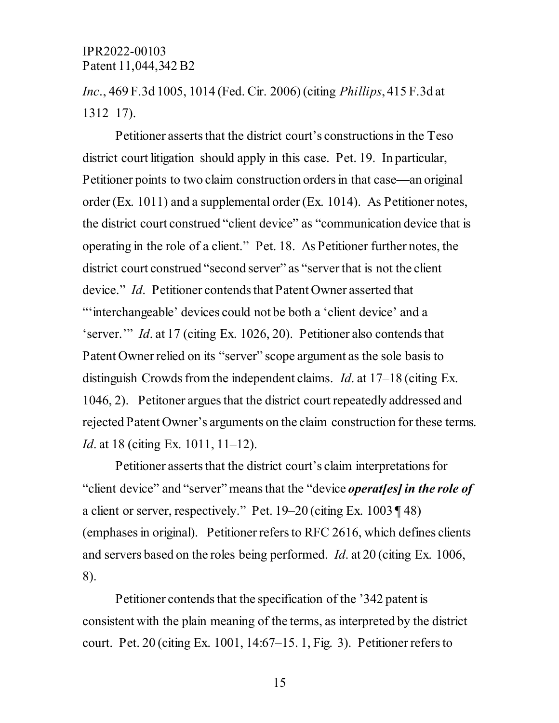# *Inc*., 469 F.3d 1005, 1014 (Fed. Cir. 2006) (citing *Phillips*, 415 F.3d at 1312–17).

Petitioner asserts that the district court's constructions in the Teso district court litigation should apply in this case. Pet. 19. In particular, Petitioner points to two claim construction orders in that case—an original order (Ex. 1011) and a supplemental order (Ex. 1014). As Petitioner notes, the district court construed "client device" as "communication device that is operating in the role of a client." Pet. 18. As Petitioner further notes, the district court construed "second server" as "server that is not the client device." *Id*. Petitioner contends that Patent Owner asserted that "'interchangeable' devices could not be both a 'client device' and a 'server.'" *Id*. at 17 (citing Ex. 1026, 20). Petitioner also contends that Patent Owner relied on its "server" scope argument as the sole basis to distinguish Crowds from the independent claims. *Id*. at 17–18 (citing Ex. 1046, 2). Petitoner argues that the district court repeatedly addressed and rejected Patent Owner's arguments on the claim construction for these terms. *Id.* at 18 (citing Ex. 1011, 11–12).

Petitioner asserts that the district court's claim interpretations for "client device" and "server" means that the "device *operat[es] in the role of*  a client or server, respectively." Pet. 19–20 (citing Ex. 1003 ¶ 48) (emphases in original). Petitioner refers to RFC 2616, which defines clients and servers based on the roles being performed. *Id*. at 20 (citing Ex. 1006, 8).

Petitioner contends that the specification of the '342 patent is consistent with the plain meaning of the terms, as interpreted by the district court. Pet. 20 (citing Ex. 1001, 14:67–15. 1, Fig. 3). Petitioner refers to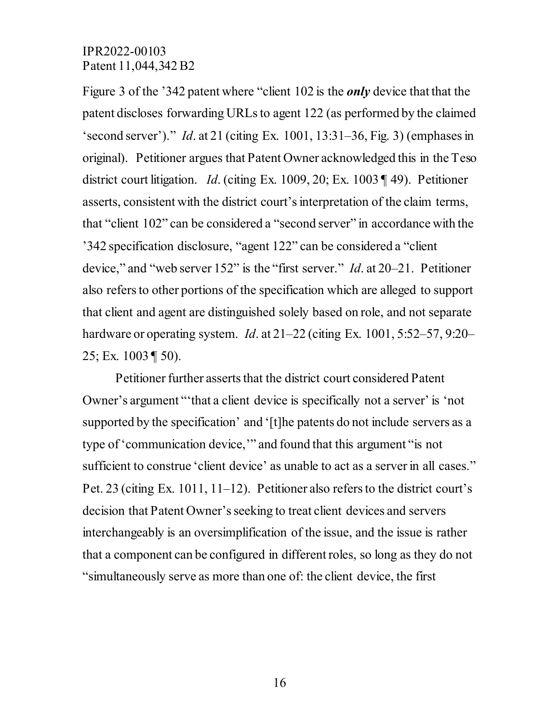Figure 3 of the '342 patent where "client 102 is the *only* device that that the patent discloses forwarding URLs to agent 122 (as performed by the claimed 'second server')." *Id*. at 21 (citing Ex. 1001, 13:31–36, Fig. 3) (emphases in original). Petitioner argues that Patent Owner acknowledged this in the Teso district court litigation. *Id*. (citing Ex. 1009, 20; Ex. 1003 ¶ 49). Petitioner asserts, consistent with the district court's interpretation of the claim terms, that "client 102" can be considered a "second server" in accordance with the '342 specification disclosure, "agent 122" can be considered a "client device," and "web server 152" is the "first server." *Id*. at 20–21. Petitioner also refers to other portions of the specification which are alleged to support that client and agent are distinguished solely based on role, and not separate hardware or operating system. *Id*. at 21–22 (citing Ex. 1001, 5:52–57, 9:20– 25; Ex. 1003  $\P$  50).

Petitioner further asserts that the district court considered Patent Owner's argument "'that a client device is specifically not a server' is 'not supported by the specification' and '[t]he patents do not include servers as a type of 'communication device,'" and found that this argument "is not sufficient to construe 'client device' as unable to act as a server in all cases." Pet. 23 (citing Ex. 1011, 11–12). Petitioner also refers to the district court's decision that Patent Owner's seeking to treat client devices and servers interchangeably is an oversimplification of the issue, and the issue is rather that a component can be configured in different roles, so long as they do not "simultaneously serve as more than one of: the client device, the first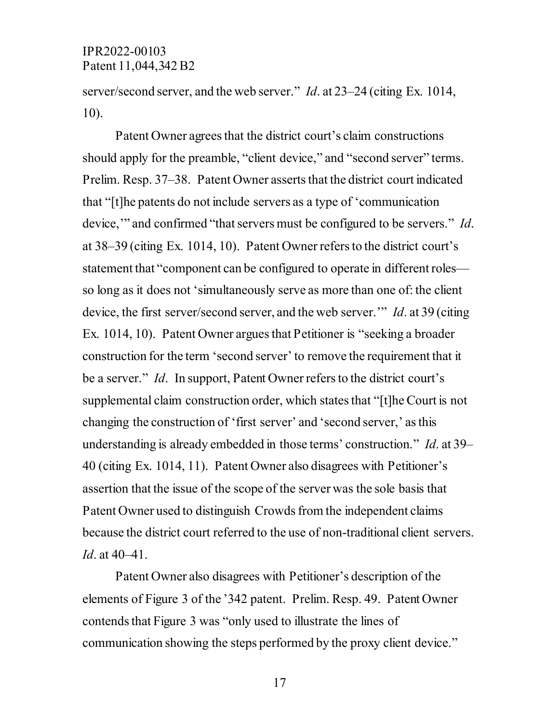server/second server, and the web server." *Id*. at 23–24 (citing Ex. 1014, 10).

Patent Owner agrees that the district court's claim constructions should apply for the preamble, "client device," and "second server" terms. Prelim. Resp. 37–38. Patent Owner asserts that the district court indicated that "[t]he patents do not include servers as a type of 'communication device," and confirmed "that servers must be configured to be servers." *Id*. at 38–39 (citing Ex. 1014, 10). Patent Owner refers to the district court's statement that "component can be configured to operate in different roles so long as it does not 'simultaneously serve as more than one of: the client device, the first server/second server, and the web server.'" *Id*. at 39 (citing Ex. 1014, 10). Patent Owner argues that Petitioner is "seeking a broader construction for the term 'second server' to remove the requirement that it be a server." *Id*. In support, Patent Owner refers to the district court's supplemental claim construction order, which states that "[t]he Court is not changing the construction of 'first server' and 'second server,' as this understanding is already embedded in those terms' construction." *Id*. at 39– 40 (citing Ex. 1014, 11). Patent Owner also disagrees with Petitioner's assertion that the issue of the scope of the server was the sole basis that Patent Owner used to distinguish Crowds from the independent claims because the district court referred to the use of non-traditional client servers. *Id*. at 40–41.

Patent Owner also disagrees with Petitioner's description of the elements of Figure 3 of the '342 patent. Prelim. Resp. 49. Patent Owner contends that Figure 3 was "only used to illustrate the lines of communication showing the steps performed by the proxy client device."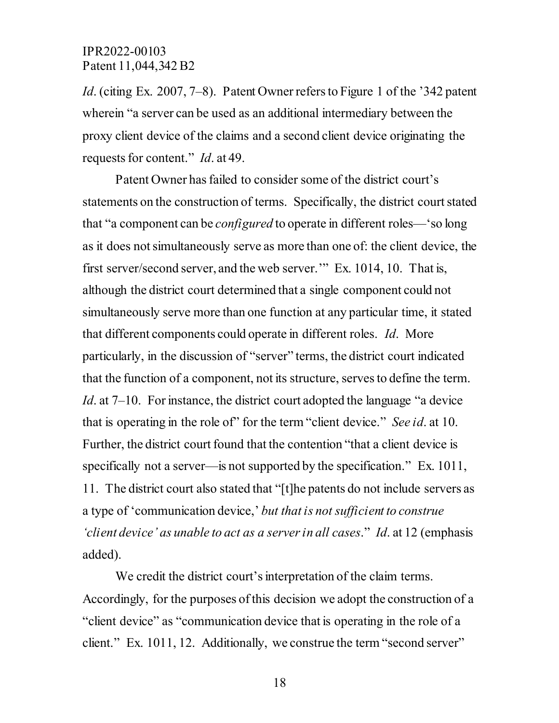*Id.* (citing Ex. 2007, 7–8). Patent Owner refers to Figure 1 of the '342 patent wherein "a server can be used as an additional intermediary between the proxy client device of the claims and a second client device originating the requests for content." *Id*. at 49.

Patent Owner has failed to consider some of the district court's statements on the construction of terms. Specifically, the district court stated that "a component can be *configured* to operate in different roles—'so long as it does not simultaneously serve as more than one of: the client device, the first server/second server, and the web server.'" Ex. 1014, 10. That is, although the district court determined that a single component could not simultaneously serve more than one function at any particular time, it stated that different components could operate in different roles. *Id*. More particularly, in the discussion of "server" terms, the district court indicated that the function of a component, not its structure, serves to define the term. *Id.* at 7–10. For instance, the district court adopted the language "a device" that is operating in the role of" for the term "client device." *See id*. at 10. Further, the district court found that the contention "that a client device is specifically not a server—is not supported by the specification." Ex. 1011, 11. The district court also stated that "[t]he patents do not include servers as a type of 'communication device,' *but that is not sufficient to construe 'client device' as unable to act as a server in all cases*." *Id*. at 12 (emphasis added).

We credit the district court's interpretation of the claim terms. Accordingly, for the purposes of this decision we adopt the construction of a "client device" as "communication device that is operating in the role of a client." Ex. 1011, 12. Additionally, we construe the term "second server"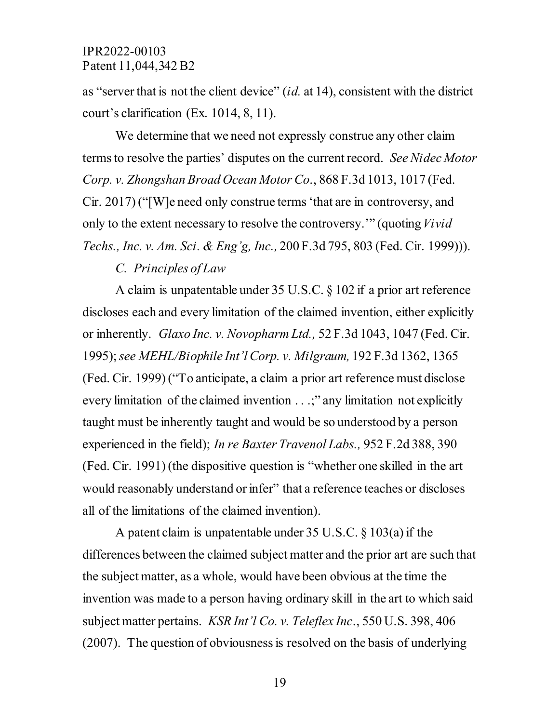as "server that is not the client device" (*id.* at 14), consistent with the district court's clarification (Ex. 1014, 8, 11).

We determine that we need not expressly construe any other claim terms to resolve the parties' disputes on the current record. *See Nidec Motor Corp. v. Zhongshan Broad Ocean Motor Co*., 868 F.3d 1013, 1017 (Fed. Cir. 2017) ("[W]e need only construe terms 'that are in controversy, and only to the extent necessary to resolve the controversy.'" (quoting *Vivid Techs., Inc. v. Am. Sci. & Eng'g, Inc.,* 200 F.3d 795, 803 (Fed. Cir. 1999))).

# *C. Principles of Law*

A claim is unpatentable under 35 U.S.C. § 102 if a prior art reference discloses each and every limitation of the claimed invention, either explicitly or inherently. *Glaxo Inc. v. Novopharm Ltd.,* 52 F.3d 1043, 1047 (Fed. Cir. 1995); *see MEHL/Biophile Int'l Corp. v. Milgraum,* 192 F.3d 1362, 1365 (Fed. Cir. 1999) ("To anticipate, a claim a prior art reference must disclose every limitation of the claimed invention . . .;" any limitation not explicitly taught must be inherently taught and would be so understood by a person experienced in the field); *In re Baxter Travenol Labs.,* 952 F.2d 388, 390 (Fed. Cir. 1991) (the dispositive question is "whether one skilled in the art would reasonably understand or infer" that a reference teaches or discloses all of the limitations of the claimed invention).

A patent claim is unpatentable under 35 U.S.C. § 103(a) if the differences between the claimed subject matter and the prior art are such that the subject matter, as a whole, would have been obvious at the time the invention was made to a person having ordinary skill in the art to which said subject matter pertains. *KSR Int'l Co. v. Teleflex Inc*., 550 U.S. 398, 406 (2007). The question of obviousness is resolved on the basis of underlying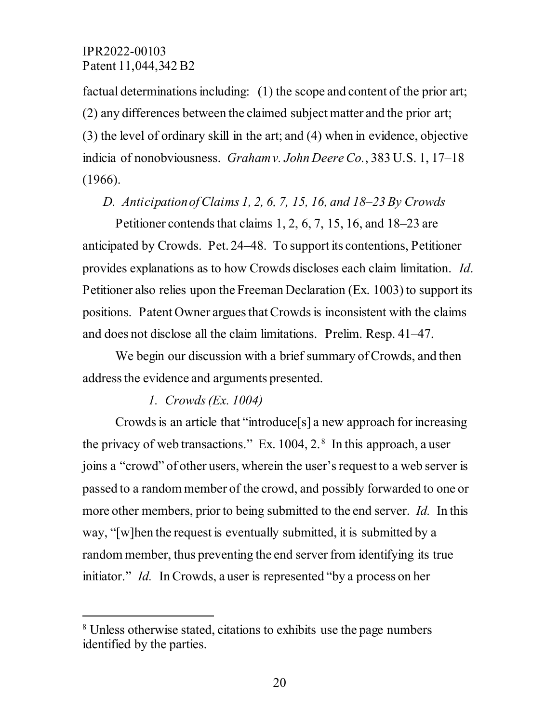factual determinations including: (1) the scope and content of the prior art; (2) any differences between the claimed subject matter and the prior art; (3) the level of ordinary skill in the art; and (4) when in evidence, objective indicia of nonobviousness. *Graham v. John Deere Co.*, 383 U.S. 1, 17–18 (1966).

# *D. Anticipationof Claims 1, 2, 6, 7, 15, 16, and 18–23 By Crowds*

Petitioner contends that claims 1, 2, 6, 7, 15, 16, and 18–23 are anticipated by Crowds. Pet. 24–48. To support its contentions, Petitioner provides explanations as to how Crowds discloses each claim limitation. *Id*. Petitioner also relies upon the Freeman Declaration (Ex. 1003) to support its positions. Patent Owner argues that Crowdsis inconsistent with the claims and does not disclose all the claim limitations. Prelim. Resp. 41–47.

We begin our discussion with a brief summary of Crowds, and then address the evidence and arguments presented.

# *1. Crowds (Ex. 1004)*

 $\overline{a}$ 

Crowds is an article that "introduce[s] a new approach for increasing the privacy of web transactions." Ex.  $1004$ ,  $2.^8$  $2.^8$  In this approach, a user joins a "crowd" of other users, wherein the user's request to a web server is passed to a random member of the crowd, and possibly forwarded to one or more other members, prior to being submitted to the end server. *Id.* In this way, "[w]hen the request is eventually submitted, it is submitted by a random member, thus preventing the end server from identifying its true initiator." *Id.* In Crowds, a user is represented "by a process on her

<span id="page-19-0"></span><sup>8</sup> Unless otherwise stated, citations to exhibits use the page numbers identified by the parties.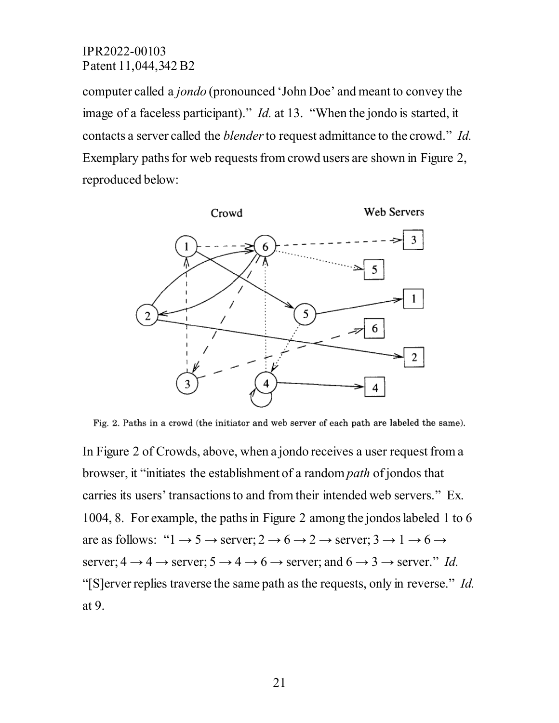computer called a *jondo* (pronounced 'John Doe' and meant to convey the image of a faceless participant)." *Id.* at 13. "When the jondo is started, it contacts a server called the *blender*to request admittance to the crowd." *Id.*  Exemplary paths for web requests from crowd users are shown in Figure 2, reproduced below:



Fig. 2. Paths in a crowd (the initiator and web server of each path are labeled the same).

In Figure 2 of Crowds, above, when a jondo receives a user request from a browser, it "initiates the establishment of a random *path* of jondos that carries its users' transactions to and from their intended web servers." Ex. 1004, 8. For example, the paths in Figure 2 among the jondos labeled 1 to 6 are as follows: " $1 \rightarrow 5 \rightarrow$  server;  $2 \rightarrow 6 \rightarrow 2 \rightarrow$  server;  $3 \rightarrow 1 \rightarrow 6 \rightarrow$ server;  $4 \rightarrow 4 \rightarrow$  server;  $5 \rightarrow 4 \rightarrow 6 \rightarrow$  server; and  $6 \rightarrow 3 \rightarrow$  server." *Id.* "[S]erver replies traverse the same path as the requests, only in reverse." *Id.*  at 9.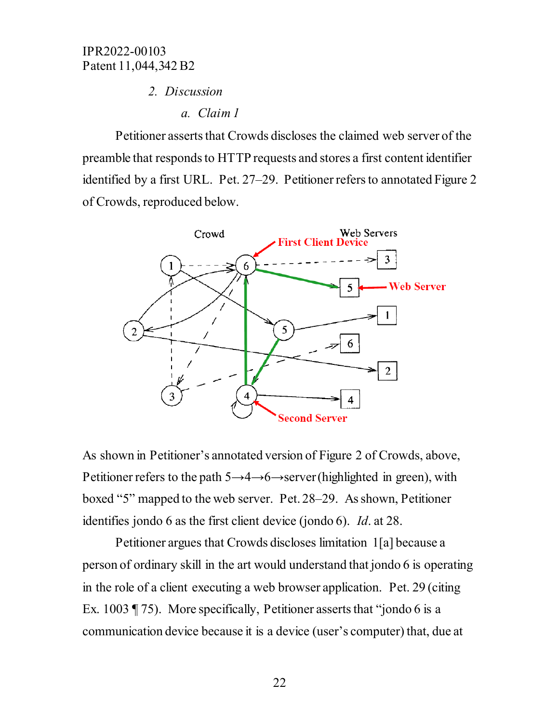#### *2. Discussion*

#### *a. Claim 1*

Petitioner asserts that Crowds discloses the claimed web server of the preamble that responds to HTTP requests and stores a first content identifier identified by a first URL. Pet. 27–29. Petitioner refers to annotated Figure 2 of Crowds, reproduced below.



As shown in Petitioner's annotated version of Figure 2 of Crowds, above, Petitioner refers to the path  $5 \rightarrow 4 \rightarrow 6 \rightarrow$ server(highlighted in green), with boxed "5" mapped to the web server. Pet. 28–29. As shown, Petitioner identifies jondo 6 as the first client device (jondo 6). *Id*. at 28.

Petitioner argues that Crowds discloses limitation 1[a] because a person of ordinary skill in the art would understand that jondo 6 is operating in the role of a client executing a web browser application. Pet. 29 (citing Ex. 1003 ¶ 75). More specifically, Petitioner asserts that "jondo 6 is a communication device because it is a device (user's computer) that, due at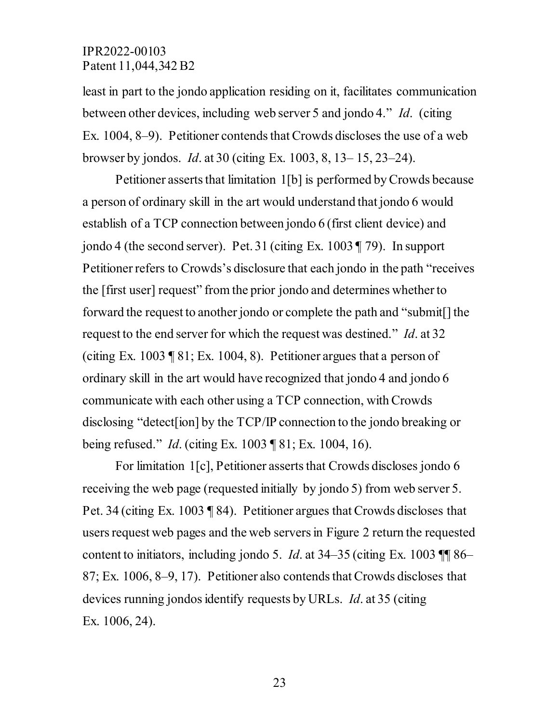least in part to the jondo application residing on it, facilitates communication between other devices, including web server 5 and jondo 4." *Id*. (citing Ex. 1004, 8–9). Petitioner contends that Crowds discloses the use of a web browser by jondos. *Id*. at 30 (citing Ex. 1003, 8, 13– 15, 23–24).

Petitioner asserts that limitation 1[b] is performed by Crowds because a person of ordinary skill in the art would understand that jondo 6 would establish of a TCP connection between jondo 6 (first client device) and jondo 4 (the second server). Pet. 31 (citing Ex. 1003 ¶ 79). In support Petitioner refers to Crowds's disclosure that each jondo in the path "receives the [first user] request" from the prior jondo and determines whether to forward the request to another jondo or complete the path and "submit[] the request to the end server for which the request was destined." *Id*. at 32 (citing Ex. 1003 ¶ 81; Ex. 1004, 8). Petitioner argues that a person of ordinary skill in the art would have recognized that jondo 4 and jondo 6 communicate with each other using a TCP connection, with Crowds disclosing "detect[ion] by the TCP/IP connection to the jondo breaking or being refused." *Id*. (citing Ex. 1003 ¶ 81; Ex. 1004, 16).

For limitation 1[c], Petitioner asserts that Crowds discloses jondo 6 receiving the web page (requested initially by jondo 5) from web server 5. Pet. 34 (citing Ex. 1003 ¶ 84). Petitioner argues that Crowds discloses that users request web pages and the web servers in Figure 2 return the requested content to initiators, including jondo 5. *Id*. at 34–35 (citing Ex. 1003 ¶¶ 86– 87; Ex. 1006, 8–9, 17). Petitioner also contends that Crowds discloses that devices running jondos identify requests by URLs. *Id*. at 35 (citing Ex. 1006, 24).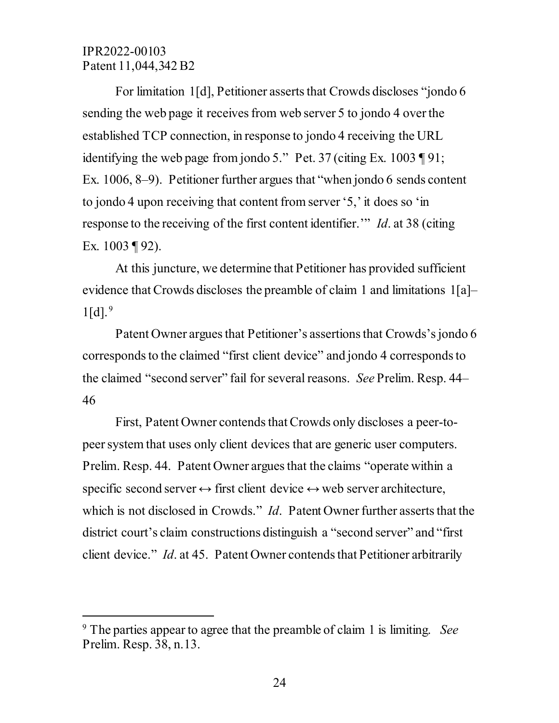$\overline{a}$ 

For limitation 1[d], Petitioner asserts that Crowds discloses "jondo 6 sending the web page it receives from web server 5 to jondo 4 over the established TCP connection, in response to jondo 4 receiving the URL identifying the web page from jondo 5." Pet. 37 (citing Ex. 1003 ¶ 91; Ex. 1006, 8–9). Petitioner further argues that "when jondo 6 sends content to jondo 4 upon receiving that content from server '5,' it does so 'in response to the receiving of the first content identifier.'" *Id*. at 38 (citing Ex. 1003 ¶ 92).

At this juncture, we determine that Petitioner has provided sufficient evidence that Crowds discloses the preamble of claim 1 and limitations 1[a]–  $1[d].<sup>9</sup>$  $1[d].<sup>9</sup>$  $1[d].<sup>9</sup>$ 

Patent Owner argues that Petitioner's assertions that Crowds'sjondo 6 corresponds to the claimed "first client device" and jondo 4 corresponds to the claimed "second server" fail for several reasons. *See* Prelim. Resp. 44– 46

First, Patent Owner contends that Crowds only discloses a peer-topeer system that uses only client devices that are generic user computers. Prelim. Resp. 44. Patent Owner argues that the claims "operate within a specific second server  $\leftrightarrow$  first client device  $\leftrightarrow$  web server architecture, which is not disclosed in Crowds." *Id*. Patent Owner further asserts that the district court's claim constructions distinguish a "second server" and "first client device." *Id*. at 45. Patent Owner contends that Petitioner arbitrarily

<span id="page-23-0"></span><sup>9</sup> The parties appear to agree that the preamble of claim 1 is limiting. *See*  Prelim. Resp. 38, n.13.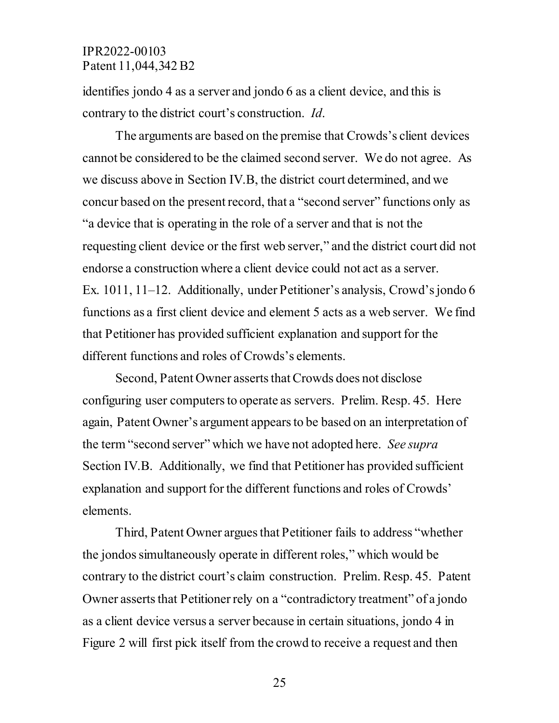identifies jondo 4 as a server and jondo 6 as a client device, and this is contrary to the district court's construction. *Id*.

The arguments are based on the premise that Crowds's client devices cannot be considered to be the claimed second server. We do not agree. As we discuss above in Section IV.B, the district court determined, and we concur based on the present record, that a "second server" functions only as "a device that is operating in the role of a server and that is not the requesting client device or the first web server," and the district court did not endorse a construction where a client device could not act as a server. Ex. 1011, 11–12. Additionally, under Petitioner's analysis, Crowd's jondo 6 functions as a first client device and element 5 acts as a web server. We find that Petitioner has provided sufficient explanation and support for the different functions and roles of Crowds's elements.

Second, Patent Owner asserts that Crowds does not disclose configuring user computers to operate as servers. Prelim. Resp. 45. Here again, Patent Owner's argument appears to be based on an interpretation of the term "second server" which we have not adopted here. *See supra* Section IV.B. Additionally, we find that Petitioner has provided sufficient explanation and support for the different functions and roles of Crowds' elements.

Third, Patent Owner argues that Petitioner fails to address "whether the jondos simultaneously operate in different roles," which would be contrary to the district court's claim construction. Prelim. Resp. 45. Patent Owner asserts that Petitioner rely on a "contradictory treatment" of a jondo as a client device versus a server because in certain situations, jondo 4 in Figure 2 will first pick itself from the crowd to receive a request and then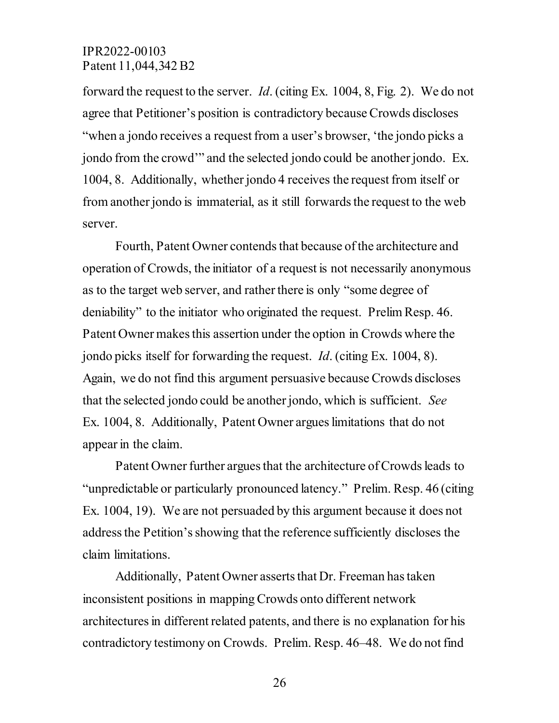forward the request to the server. *Id*. (citing Ex. 1004, 8, Fig. 2). We do not agree that Petitioner's position is contradictory because Crowds discloses "when a jondo receives a request from a user's browser, 'the jondo picks a jondo from the crowd'" and the selected jondo could be another jondo. Ex. 1004, 8. Additionally, whether jondo 4 receives the request from itself or from another jondo is immaterial, as it still forwards the request to the web server.

Fourth, Patent Owner contends that because of the architecture and operation of Crowds, the initiator of a request is not necessarily anonymous as to the target web server, and rather there is only "some degree of deniability" to the initiator who originated the request. Prelim Resp. 46. Patent Owner makes this assertion under the option in Crowds where the jondo picks itself for forwarding the request. *Id*. (citing Ex. 1004, 8). Again, we do not find this argument persuasive because Crowds discloses that the selected jondo could be another jondo, which is sufficient. *See*  Ex. 1004, 8. Additionally, Patent Owner argues limitations that do not appear in the claim.

Patent Owner further argues that the architecture of Crowds leads to "unpredictable or particularly pronounced latency." Prelim. Resp. 46 (citing Ex. 1004, 19). We are not persuaded by this argument because it does not addressthe Petition's showing that the reference sufficiently discloses the claim limitations.

Additionally, Patent Owner asserts that Dr. Freeman has taken inconsistent positions in mapping Crowds onto different network architectures in different related patents, and there is no explanation for his contradictory testimony on Crowds. Prelim. Resp. 46–48. We do not find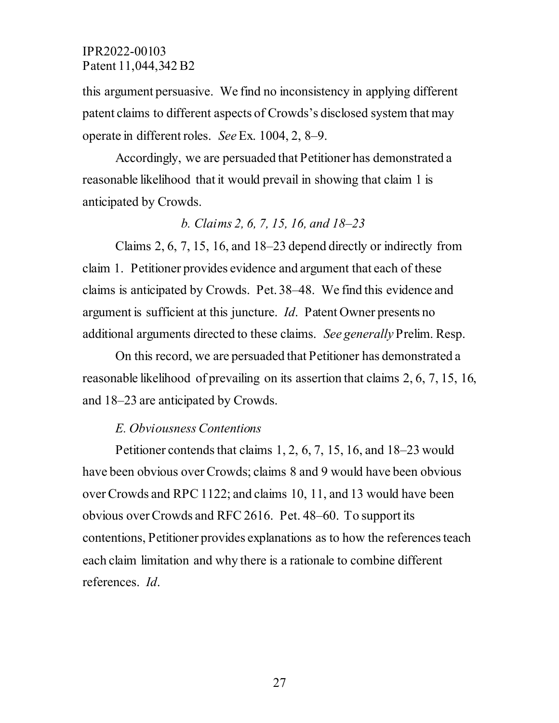this argument persuasive. We find no inconsistency in applying different patent claims to different aspects of Crowds's disclosed system that may operate in different roles. *See* Ex. 1004, 2, 8–9.

Accordingly, we are persuaded that Petitioner has demonstrated a reasonable likelihood that it would prevail in showing that claim 1 is anticipated by Crowds.

## *b. Claims 2, 6, 7, 15, 16, and 18–23*

Claims 2, 6, 7, 15, 16, and 18–23 depend directly or indirectly from claim 1. Petitioner provides evidence and argument that each of these claims is anticipated by Crowds. Pet. 38–48. We find this evidence and argument is sufficient at this juncture. *Id*. Patent Owner presents no additional arguments directed to these claims. *See generally* Prelim. Resp.

On this record, we are persuaded that Petitioner has demonstrated a reasonable likelihood of prevailing on its assertion that claims 2, 6, 7, 15, 16, and 18–23 are anticipated by Crowds.

# *E. Obviousness Contentions*

Petitioner contends that claims 1, 2, 6, 7, 15, 16, and 18–23 would have been obvious over Crowds; claims 8 and 9 would have been obvious over Crowds and RPC 1122; and claims 10, 11, and 13 would have been obvious over Crowds and RFC 2616. Pet. 48–60. To support its contentions, Petitioner provides explanations as to how the references teach each claim limitation and why there is a rationale to combine different references. *Id*.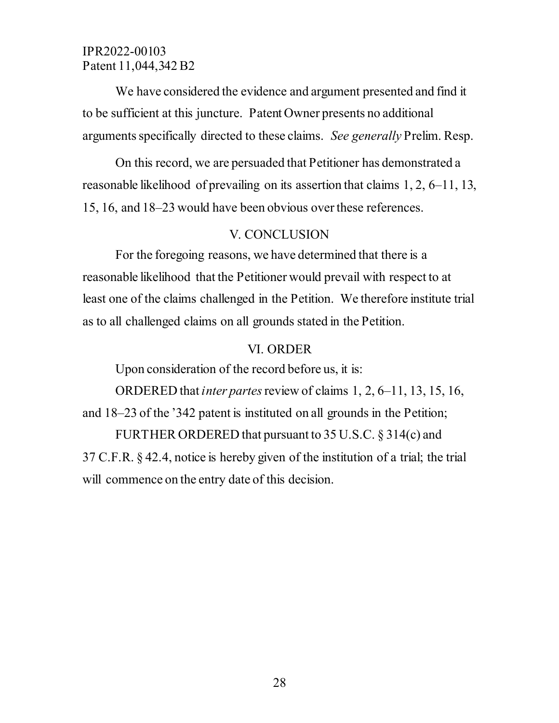We have considered the evidence and argument presented and find it to be sufficient at this juncture. Patent Owner presents no additional arguments specifically directed to these claims. *See generally* Prelim. Resp.

On this record, we are persuaded that Petitioner has demonstrated a reasonable likelihood of prevailing on its assertion that claims 1, 2, 6–11, 13, 15, 16, and 18–23 would have been obvious over these references.

#### V. CONCLUSION

For the foregoing reasons, we have determined that there is a reasonable likelihood that the Petitioner would prevail with respect to at least one of the claims challenged in the Petition. We therefore institute trial as to all challenged claims on all grounds stated in the Petition.

#### VI. ORDER

Upon consideration of the record before us, it is:

ORDERED that *inter partes*review of claims 1, 2, 6–11, 13, 15, 16, and 18–23 of the '342 patent is instituted on all grounds in the Petition;

FURTHER ORDERED that pursuant to 35 U.S.C. § 314(c) and 37 C.F.R. § 42.4, notice is hereby given of the institution of a trial; the trial will commence on the entry date of this decision.